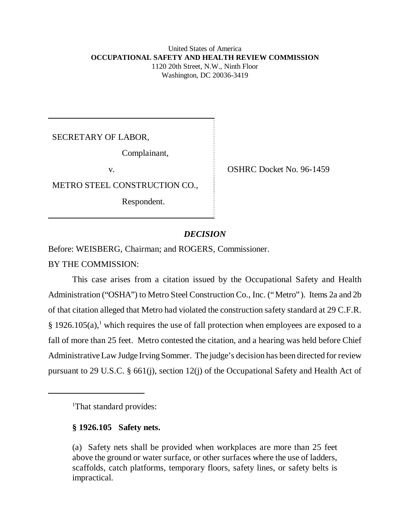# United States of America **OCCUPATIONAL SAFETY AND HEALTH REVIEW COMMISSION** 1120 20th Street, N.W., Ninth Floor Washington, DC 20036-3419

SECRETARY OF LABOR,

Complainant,

METRO STEEL CONSTRUCTION CO.,

Respondent.

v. OSHRC Docket No. 96-1459

# *DECISION*

Before: WEISBERG, Chairman; and ROGERS, Commissioner.

BY THE COMMISSION:

This case arises from a citation issued by the Occupational Safety and Health Administration ("OSHA") to Metro Steel Construction Co., Inc. ("Metro"). Items 2a and 2b of that citation alleged that Metro had violated the construction safety standard at 29 C.F.R.  $\S$  1926.105(a),<sup>1</sup> which requires the use of fall protection when employees are exposed to a fall of more than 25 feet. Metro contested the citation, and a hearing was held before Chief Administrative Law Judge Irving Sommer. The judge's decision has been directed for review pursuant to 29 U.S.C. § 661(j), section 12(j) of the Occupational Safety and Health Act of

<sup>1</sup>That standard provides:

# **§ 1926.105 Safety nets.**

(a) Safety nets shall be provided when workplaces are more than 25 feet above the ground or water surface, or other surfaces where the use of ladders, scaffolds, catch platforms, temporary floors, safety lines, or safety belts is impractical.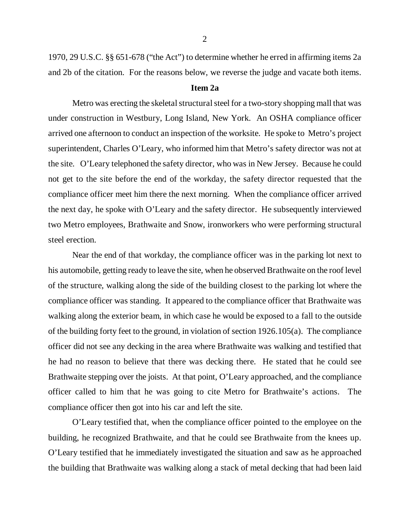1970, 29 U.S.C. §§ 651-678 ("the Act") to determine whether he erred in affirming items 2a and 2b of the citation. For the reasons below, we reverse the judge and vacate both items.

# **Item 2a**

Metro was erecting the skeletal structural steel for a two-story shopping mall that was under construction in Westbury, Long Island, New York. An OSHA compliance officer arrived one afternoon to conduct an inspection of the worksite. He spoke to Metro's project superintendent, Charles O'Leary, who informed him that Metro's safety director was not at the site. O'Leary telephoned the safety director, who was in New Jersey. Because he could not get to the site before the end of the workday, the safety director requested that the compliance officer meet him there the next morning. When the compliance officer arrived the next day, he spoke with O'Leary and the safety director. He subsequently interviewed two Metro employees, Brathwaite and Snow, ironworkers who were performing structural steel erection.

Near the end of that workday, the compliance officer was in the parking lot next to his automobile, getting ready to leave the site, when he observed Brathwaite on the roof level of the structure, walking along the side of the building closest to the parking lot where the compliance officer was standing. It appeared to the compliance officer that Brathwaite was walking along the exterior beam, in which case he would be exposed to a fall to the outside of the building forty feet to the ground, in violation of section 1926.105(a). The compliance officer did not see any decking in the area where Brathwaite was walking and testified that he had no reason to believe that there was decking there. He stated that he could see Brathwaite stepping over the joists. At that point, O'Leary approached, and the compliance officer called to him that he was going to cite Metro for Brathwaite's actions. The compliance officer then got into his car and left the site.

O'Leary testified that, when the compliance officer pointed to the employee on the building, he recognized Brathwaite, and that he could see Brathwaite from the knees up. O'Leary testified that he immediately investigated the situation and saw as he approached the building that Brathwaite was walking along a stack of metal decking that had been laid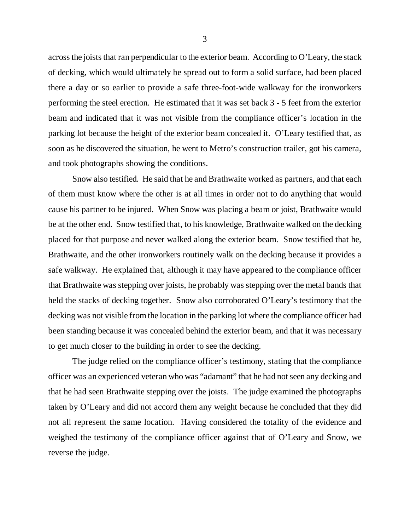across the joists that ran perpendicular to the exterior beam. According to O'Leary, the stack of decking, which would ultimately be spread out to form a solid surface, had been placed there a day or so earlier to provide a safe three-foot-wide walkway for the ironworkers performing the steel erection. He estimated that it was set back 3 - 5 feet from the exterior beam and indicated that it was not visible from the compliance officer's location in the parking lot because the height of the exterior beam concealed it. O'Leary testified that, as soon as he discovered the situation, he went to Metro's construction trailer, got his camera, and took photographs showing the conditions.

Snow also testified. He said that he and Brathwaite worked as partners, and that each of them must know where the other is at all times in order not to do anything that would cause his partner to be injured. When Snow was placing a beam or joist, Brathwaite would be at the other end. Snow testified that, to his knowledge, Brathwaite walked on the decking placed for that purpose and never walked along the exterior beam. Snow testified that he, Brathwaite, and the other ironworkers routinely walk on the decking because it provides a safe walkway. He explained that, although it may have appeared to the compliance officer that Brathwaite was stepping over joists, he probably was stepping over the metal bands that held the stacks of decking together. Snow also corroborated O'Leary's testimony that the decking was not visible from the location in the parking lot where the compliance officer had been standing because it was concealed behind the exterior beam, and that it was necessary to get much closer to the building in order to see the decking.

The judge relied on the compliance officer's testimony, stating that the compliance officer was an experienced veteran who was "adamant" that he had not seen any decking and that he had seen Brathwaite stepping over the joists. The judge examined the photographs taken by O'Leary and did not accord them any weight because he concluded that they did not all represent the same location. Having considered the totality of the evidence and weighed the testimony of the compliance officer against that of O'Leary and Snow, we reverse the judge.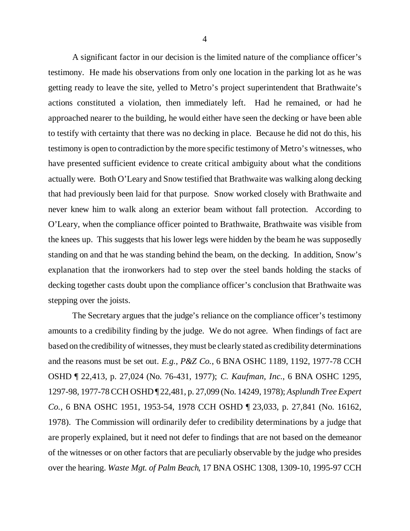A significant factor in our decision is the limited nature of the compliance officer's testimony. He made his observations from only one location in the parking lot as he was getting ready to leave the site, yelled to Metro's project superintendent that Brathwaite's actions constituted a violation, then immediately left. Had he remained, or had he approached nearer to the building, he would either have seen the decking or have been able to testify with certainty that there was no decking in place. Because he did not do this, his testimony is open to contradiction by the more specific testimony of Metro's witnesses, who have presented sufficient evidence to create critical ambiguity about what the conditions actually were. Both O'Leary and Snow testified that Brathwaite was walking along decking that had previously been laid for that purpose. Snow worked closely with Brathwaite and never knew him to walk along an exterior beam without fall protection. According to O'Leary, when the compliance officer pointed to Brathwaite, Brathwaite was visible from the knees up. This suggests that his lower legs were hidden by the beam he was supposedly standing on and that he was standing behind the beam, on the decking. In addition, Snow's explanation that the ironworkers had to step over the steel bands holding the stacks of decking together casts doubt upon the compliance officer's conclusion that Brathwaite was stepping over the joists.

The Secretary argues that the judge's reliance on the compliance officer's testimony amounts to a credibility finding by the judge. We do not agree. When findings of fact are based on the credibility of witnesses, they must be clearly stated as credibility determinations and the reasons must be set out. *E.g.*, *P&Z Co.*, 6 BNA OSHC 1189, 1192, 1977-78 CCH OSHD ¶ 22,413, p. 27,024 (No. 76-431, 1977); *C. Kaufman, Inc.*, 6 BNA OSHC 1295, 1297-98, 1977-78 CCH OSHD ¶ 22,481, p. 27,099 (No. 14249, 1978); *Asplundh Tree Expert Co.*, 6 BNA OSHC 1951, 1953-54, 1978 CCH OSHD ¶ 23,033, p. 27,841 (No. 16162, 1978). The Commission will ordinarily defer to credibility determinations by a judge that are properly explained, but it need not defer to findings that are not based on the demeanor of the witnesses or on other factors that are peculiarly observable by the judge who presides over the hearing. *Waste Mgt. of Palm Beach*, 17 BNA OSHC 1308, 1309-10, 1995-97 CCH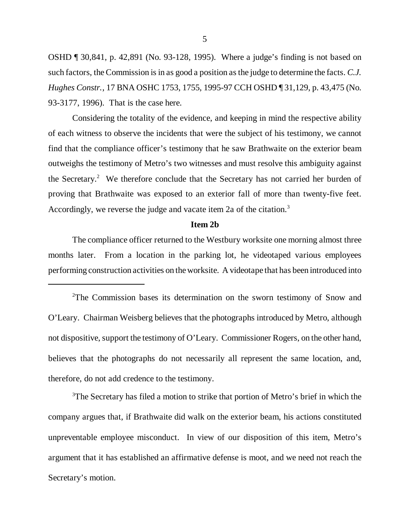OSHD ¶ 30,841, p. 42,891 (No. 93-128, 1995). Where a judge's finding is not based on such factors, the Commission is in as good a position as the judge to determine the facts. *C.J. Hughes Constr.*, 17 BNA OSHC 1753, 1755, 1995-97 CCH OSHD ¶ 31,129, p. 43,475 (No. 93-3177, 1996). That is the case here.

Considering the totality of the evidence, and keeping in mind the respective ability of each witness to observe the incidents that were the subject of his testimony, we cannot find that the compliance officer's testimony that he saw Brathwaite on the exterior beam outweighs the testimony of Metro's two witnesses and must resolve this ambiguity against the Secretary.<sup>2</sup> We therefore conclude that the Secretary has not carried her burden of proving that Brathwaite was exposed to an exterior fall of more than twenty-five feet. Accordingly, we reverse the judge and vacate item 2a of the citation.<sup>3</sup>

### **Item 2b**

The compliance officer returned to the Westbury worksite one morning almost three months later. From a location in the parking lot, he videotaped various employees performing construction activities on the worksite. A videotape that has been introduced into

<sup>2</sup>The Commission bases its determination on the sworn testimony of Snow and O'Leary. Chairman Weisberg believes that the photographs introduced by Metro, although not dispositive, support the testimony of O'Leary. Commissioner Rogers, on the other hand, believes that the photographs do not necessarily all represent the same location, and, therefore, do not add credence to the testimony.

<sup>3</sup>The Secretary has filed a motion to strike that portion of Metro's brief in which the company argues that, if Brathwaite did walk on the exterior beam, his actions constituted unpreventable employee misconduct. In view of our disposition of this item, Metro's argument that it has established an affirmative defense is moot, and we need not reach the Secretary's motion.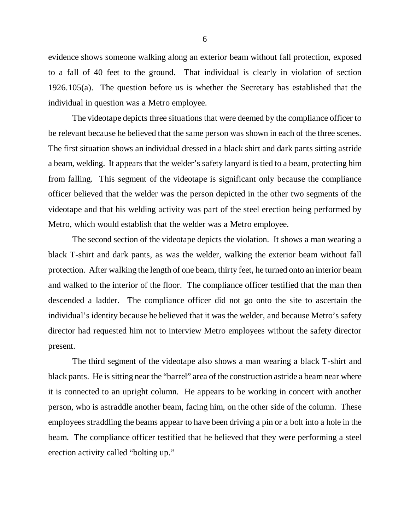evidence shows someone walking along an exterior beam without fall protection, exposed to a fall of 40 feet to the ground. That individual is clearly in violation of section 1926.105(a). The question before us is whether the Secretary has established that the individual in question was a Metro employee.

The videotape depicts three situations that were deemed by the compliance officer to be relevant because he believed that the same person was shown in each of the three scenes. The first situation shows an individual dressed in a black shirt and dark pants sitting astride a beam, welding. It appears that the welder's safety lanyard is tied to a beam, protecting him from falling. This segment of the videotape is significant only because the compliance officer believed that the welder was the person depicted in the other two segments of the videotape and that his welding activity was part of the steel erection being performed by Metro, which would establish that the welder was a Metro employee.

The second section of the videotape depicts the violation. It shows a man wearing a black T-shirt and dark pants, as was the welder, walking the exterior beam without fall protection. After walking the length of one beam, thirty feet, he turned onto an interior beam and walked to the interior of the floor. The compliance officer testified that the man then descended a ladder. The compliance officer did not go onto the site to ascertain the individual's identity because he believed that it was the welder, and because Metro's safety director had requested him not to interview Metro employees without the safety director present.

The third segment of the videotape also shows a man wearing a black T-shirt and black pants. He is sitting near the "barrel" area of the construction astride a beam near where it is connected to an upright column. He appears to be working in concert with another person, who is astraddle another beam, facing him, on the other side of the column. These employees straddling the beams appear to have been driving a pin or a bolt into a hole in the beam. The compliance officer testified that he believed that they were performing a steel erection activity called "bolting up."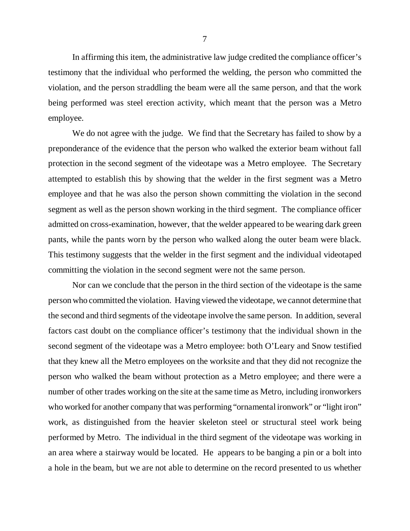In affirming this item, the administrative law judge credited the compliance officer's testimony that the individual who performed the welding, the person who committed the violation, and the person straddling the beam were all the same person, and that the work being performed was steel erection activity, which meant that the person was a Metro employee.

We do not agree with the judge. We find that the Secretary has failed to show by a preponderance of the evidence that the person who walked the exterior beam without fall protection in the second segment of the videotape was a Metro employee. The Secretary attempted to establish this by showing that the welder in the first segment was a Metro employee and that he was also the person shown committing the violation in the second segment as well as the person shown working in the third segment. The compliance officer admitted on cross-examination, however, that the welder appeared to be wearing dark green pants, while the pants worn by the person who walked along the outer beam were black. This testimony suggests that the welder in the first segment and the individual videotaped committing the violation in the second segment were not the same person.

Nor can we conclude that the person in the third section of the videotape is the same person who committed the violation. Having viewed the videotape, we cannot determine that the second and third segments of the videotape involve the same person. In addition, several factors cast doubt on the compliance officer's testimony that the individual shown in the second segment of the videotape was a Metro employee: both O'Leary and Snow testified that they knew all the Metro employees on the worksite and that they did not recognize the person who walked the beam without protection as a Metro employee; and there were a number of other trades working on the site at the same time as Metro, including ironworkers who worked for another company that was performing "ornamental ironwork" or "light iron" work, as distinguished from the heavier skeleton steel or structural steel work being performed by Metro. The individual in the third segment of the videotape was working in an area where a stairway would be located. He appears to be banging a pin or a bolt into a hole in the beam, but we are not able to determine on the record presented to us whether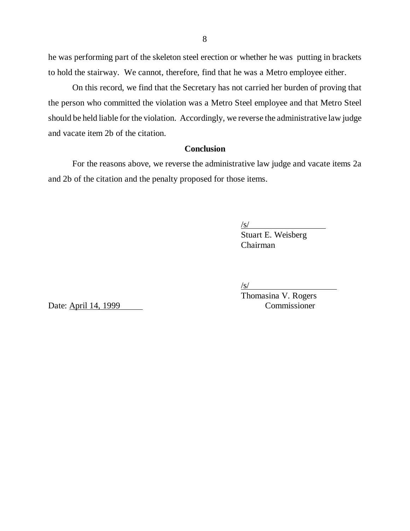he was performing part of the skeleton steel erection or whether he was putting in brackets to hold the stairway. We cannot, therefore, find that he was a Metro employee either.

On this record, we find that the Secretary has not carried her burden of proving that the person who committed the violation was a Metro Steel employee and that Metro Steel should be held liable for the violation. Accordingly, we reverse the administrative law judge and vacate item 2b of the citation.

# **Conclusion**

For the reasons above, we reverse the administrative law judge and vacate items 2a and 2b of the citation and the penalty proposed for those items.

 $\sqrt{s/}$ 

Stuart E. Weisberg Chairman

Date: April 14, 1999 Commissioner

/s/

Thomasina V. Rogers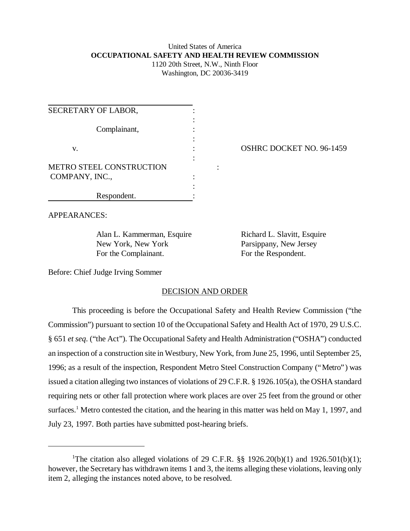# United States of America **OCCUPATIONAL SAFETY AND HEALTH REVIEW COMMISSION** 1120 20th Street, N.W., Ninth Floor

Washington, DC 20036-3419

| SECRETARY OF LABOR,             |  |
|---------------------------------|--|
|                                 |  |
| Complainant,                    |  |
| V.                              |  |
|                                 |  |
| <b>METRO STEEL CONSTRUCTION</b> |  |
| COMPANY, INC.,                  |  |
| Respondent.                     |  |
|                                 |  |

## OSHRC DOCKET NO. 96-1459

APPEARANCES:

Alan L. Kammerman, Esquire Richard L. Slavitt, Esquire New York, New York Parsippany, New Jersey For the Complainant. For the Respondent.

Before: Chief Judge Irving Sommer

### DECISION AND ORDER

This proceeding is before the Occupational Safety and Health Review Commission ("the Commission") pursuant to section 10 of the Occupational Safety and Health Act of 1970, 29 U.S.C. § 651 *et seq*. ("the Act"). The Occupational Safety and Health Administration ("OSHA") conducted an inspection of a construction site in Westbury, New York, from June 25, 1996, until September 25, 1996; as a result of the inspection, Respondent Metro Steel Construction Company ("Metro") was issued a citation alleging two instances of violations of 29 C.F.R. § 1926.105(a), the OSHA standard requiring nets or other fall protection where work places are over 25 feet from the ground or other surfaces.<sup>1</sup> Metro contested the citation, and the hearing in this matter was held on May 1, 1997, and July 23, 1997. Both parties have submitted post-hearing briefs.

<sup>&</sup>lt;sup>1</sup>The citation also alleged violations of 29 C.F.R.  $\S$  1926.20(b)(1) and 1926.501(b)(1); however, the Secretary has withdrawn items 1 and 3, the items alleging these violations, leaving only item 2, alleging the instances noted above, to be resolved.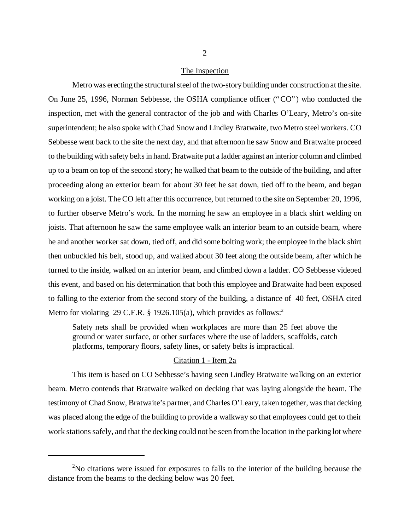#### The Inspection

Metro was erecting the structural steel of the two-story building under construction at the site. On June 25, 1996, Norman Sebbesse, the OSHA compliance officer ("CO") who conducted the inspection, met with the general contractor of the job and with Charles O'Leary, Metro's on-site superintendent; he also spoke with Chad Snow and Lindley Bratwaite, two Metro steel workers. CO Sebbesse went back to the site the next day, and that afternoon he saw Snow and Bratwaite proceed to the building with safety belts in hand. Bratwaite put a ladder against an interior column and climbed up to a beam on top of the second story; he walked that beam to the outside of the building, and after proceeding along an exterior beam for about 30 feet he sat down, tied off to the beam, and began working on a joist. The CO left after this occurrence, but returned to the site on September 20, 1996, to further observe Metro's work. In the morning he saw an employee in a black shirt welding on joists. That afternoon he saw the same employee walk an interior beam to an outside beam, where he and another worker sat down, tied off, and did some bolting work; the employee in the black shirt then unbuckled his belt, stood up, and walked about 30 feet along the outside beam, after which he turned to the inside, walked on an interior beam, and climbed down a ladder. CO Sebbesse videoed this event, and based on his determination that both this employee and Bratwaite had been exposed to falling to the exterior from the second story of the building, a distance of 40 feet, OSHA cited Metro for violating 29 C.F.R. § 1926.105(a), which provides as follows:<sup>2</sup>

Safety nets shall be provided when workplaces are more than 25 feet above the ground or water surface, or other surfaces where the use of ladders, scaffolds, catch platforms, temporary floors, safety lines, or safety belts is impractical.

## Citation 1 - Item 2a

This item is based on CO Sebbesse's having seen Lindley Bratwaite walking on an exterior beam. Metro contends that Bratwaite walked on decking that was laying alongside the beam. The testimony of Chad Snow, Bratwaite's partner, and Charles O'Leary, taken together, was that decking was placed along the edge of the building to provide a walkway so that employees could get to their work stations safely, and that the decking could not be seen from the location in the parking lot where

 $2$ No citations were issued for exposures to falls to the interior of the building because the distance from the beams to the decking below was 20 feet.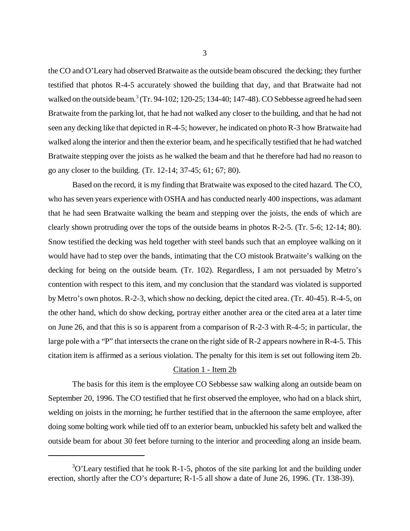the CO and O'Leary had observed Bratwaite as the outside beam obscured the decking; they further testified that photos R-4-5 accurately showed the building that day, and that Bratwaite had not walked on the outside beam.<sup>3</sup> (Tr. 94-102; 120-25; 134-40; 147-48). CO Sebbesse agreed he had seen Bratwaite from the parking lot, that he had not walked any closer to the building, and that he had not seen any decking like that depicted in R-4-5; however, he indicated on photo R-3 how Bratwaite had walked along the interior and then the exterior beam, and he specifically testified that he had watched Bratwaite stepping over the joists as he walked the beam and that he therefore had had no reason to go any closer to the building. (Tr. 12-14; 37-45; 61; 67; 80).

Based on the record, it is my finding that Bratwaite was exposed to the cited hazard. The CO, who has seven years experience with OSHA and has conducted nearly 400 inspections, was adamant that he had seen Bratwaite walking the beam and stepping over the joists, the ends of which are clearly shown protruding over the tops of the outside beams in photos R-2-5. (Tr. 5-6; 12-14; 80). Snow testified the decking was held together with steel bands such that an employee walking on it would have had to step over the bands, intimating that the CO mistook Bratwaite's walking on the decking for being on the outside beam. (Tr. 102). Regardless, I am not persuaded by Metro's contention with respect to this item, and my conclusion that the standard was violated is supported by Metro's own photos. R-2-3, which show no decking, depict the cited area. (Tr. 40-45). R-4-5, on the other hand, which do show decking, portray either another area or the cited area at a later time on June 26, and that this is so is apparent from a comparison of R-2-3 with R-4-5; in particular, the large pole with a "P" that intersects the crane on the right side of R-2 appears nowhere in R-4-5. This citation item is affirmed as a serious violation. The penalty for this item is set out following item 2b.

#### Citation 1 - Item 2b

The basis for this item is the employee CO Sebbesse saw walking along an outside beam on September 20, 1996. The CO testified that he first observed the employee, who had on a black shirt, welding on joists in the morning; he further testified that in the afternoon the same employee, after doing some bolting work while tied off to an exterior beam, unbuckled his safety belt and walked the outside beam for about 30 feet before turning to the interior and proceeding along an inside beam.

 $3$ O'Leary testified that he took R-1-5, photos of the site parking lot and the building under erection, shortly after the CO's departure; R-1-5 all show a date of June 26, 1996. (Tr. 138-39).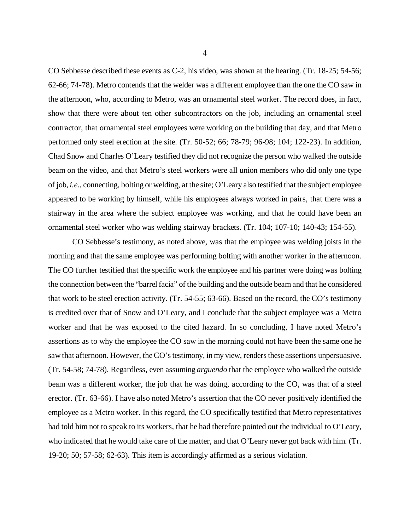CO Sebbesse described these events as C-2, his video, was shown at the hearing. (Tr. 18-25; 54-56; 62-66; 74-78). Metro contends that the welder was a different employee than the one the CO saw in the afternoon, who, according to Metro, was an ornamental steel worker. The record does, in fact, show that there were about ten other subcontractors on the job, including an ornamental steel contractor, that ornamental steel employees were working on the building that day, and that Metro performed only steel erection at the site. (Tr. 50-52; 66; 78-79; 96-98; 104; 122-23). In addition, Chad Snow and Charles O'Leary testified they did not recognize the person who walked the outside beam on the video, and that Metro's steel workers were all union members who did only one type of job, *i.e.*, connecting, bolting or welding, at the site; O'Leary also testified that the subject employee appeared to be working by himself, while his employees always worked in pairs, that there was a stairway in the area where the subject employee was working, and that he could have been an ornamental steel worker who was welding stairway brackets. (Tr. 104; 107-10; 140-43; 154-55).

CO Sebbesse's testimony, as noted above, was that the employee was welding joists in the morning and that the same employee was performing bolting with another worker in the afternoon. The CO further testified that the specific work the employee and his partner were doing was bolting the connection between the "barrel facia" of the building and the outside beam and that he considered that work to be steel erection activity. (Tr. 54-55; 63-66). Based on the record, the CO's testimony is credited over that of Snow and O'Leary, and I conclude that the subject employee was a Metro worker and that he was exposed to the cited hazard. In so concluding, I have noted Metro's assertions as to why the employee the CO saw in the morning could not have been the same one he saw that afternoon. However, the CO's testimony, in my view, renders these assertions unpersuasive. (Tr. 54-58; 74-78). Regardless, even assuming *arguendo* that the employee who walked the outside beam was a different worker, the job that he was doing, according to the CO, was that of a steel erector. (Tr. 63-66). I have also noted Metro's assertion that the CO never positively identified the employee as a Metro worker. In this regard, the CO specifically testified that Metro representatives had told him not to speak to its workers, that he had therefore pointed out the individual to O'Leary, who indicated that he would take care of the matter, and that O'Leary never got back with him. (Tr. 19-20; 50; 57-58; 62-63). This item is accordingly affirmed as a serious violation.